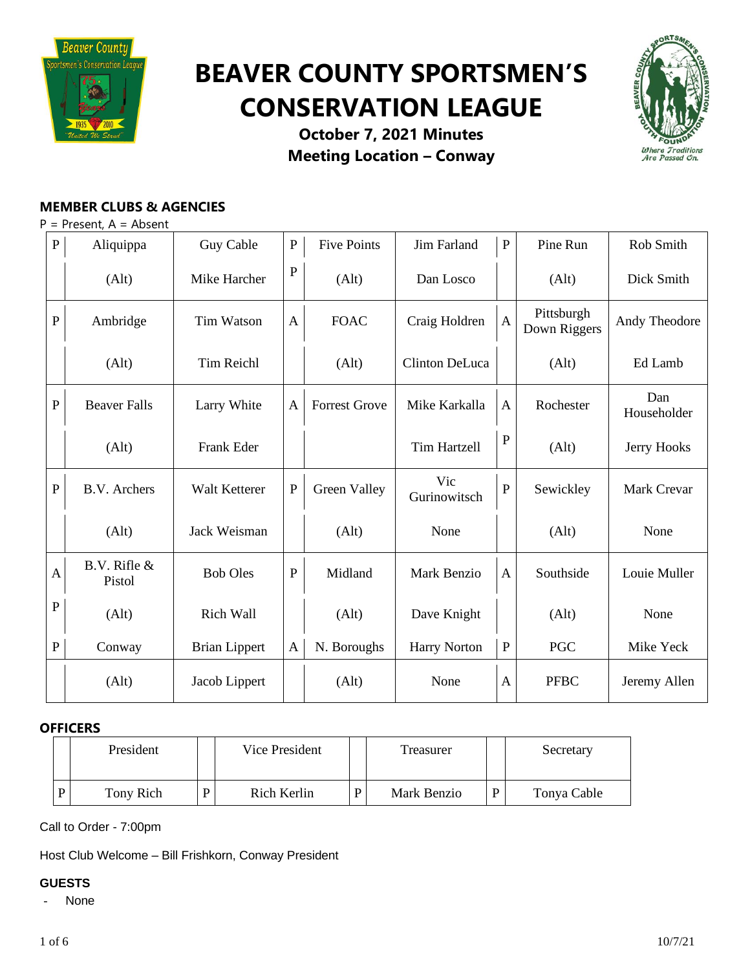

# **BEAVER COUNTY SPORTSMEN'S CONSERVATION LEAGUE**



**October 7, 2021 Minutes Meeting Location – Conway**

# **MEMBER CLUBS & AGENCIES**

P = Present, A = Absent

| ${\bf P}$      | Aliquippa              | Guy Cable            | ${\bf P}$    | <b>Five Points</b>   | Jim Farland         | ${\bf P}$    | Pine Run                   | Rob Smith          |
|----------------|------------------------|----------------------|--------------|----------------------|---------------------|--------------|----------------------------|--------------------|
|                | (Alt)                  | Mike Harcher         | $\mathbf P$  | (Alt)                | Dan Losco           |              | (Alt)                      | Dick Smith         |
| $\overline{P}$ | Ambridge               | <b>Tim Watson</b>    | $\mathbf{A}$ | <b>FOAC</b>          | Craig Holdren       | $\mathbf{A}$ | Pittsburgh<br>Down Riggers | Andy Theodore      |
|                | (Alt)                  | <b>Tim Reichl</b>    |              | (Alt)                | Clinton DeLuca      |              | (Alt)                      | Ed Lamb            |
| ${\bf P}$      | <b>Beaver Falls</b>    | Larry White          | $\mathbf{A}$ | <b>Forrest Grove</b> | Mike Karkalla       | $\mathbf{A}$ | Rochester                  | Dan<br>Householder |
|                | (Alt)                  | Frank Eder           |              |                      | <b>Tim Hartzell</b> | ${\bf P}$    | (Alt)                      | Jerry Hooks        |
| $\mathbf P$    | <b>B.V.</b> Archers    | Walt Ketterer        | $\mathbf P$  | Green Valley         | Vic<br>Gurinowitsch | $\mathbf P$  | Sewickley                  | Mark Crevar        |
|                | (Alt)                  | Jack Weisman         |              | (Alt)                | None                |              | (Alt)                      | None               |
| $\mathbf{A}$   | B.V. Rifle &<br>Pistol | <b>Bob Oles</b>      | $\mathbf P$  | Midland              | Mark Benzio         | $\mathbf{A}$ | Southside                  | Louie Muller       |
| $\mathbf{P}$   | (Alt)                  | Rich Wall            |              | (Alt)                | Dave Knight         |              | (Alt)                      | None               |
| $\mathbf{P}$   | Conway                 | <b>Brian Lippert</b> | $\mathbf{A}$ | N. Boroughs          | <b>Harry Norton</b> | ${\bf P}$    | <b>PGC</b>                 | Mike Yeck          |
|                | (Alt)                  | Jacob Lippert        |              | (Alt)                | None                | A            | <b>PFBC</b>                | Jeremy Allen       |

## **OFFICERS**

| President |   | Vice President | Treasurer   |   | Secretary   |
|-----------|---|----------------|-------------|---|-------------|
| Tony Rich | D | Rich Kerlin    | Mark Benzio | D | Tonya Cable |

Call to Order - 7:00pm

Host Club Welcome – Bill Frishkorn, Conway President

## **GUESTS**

- None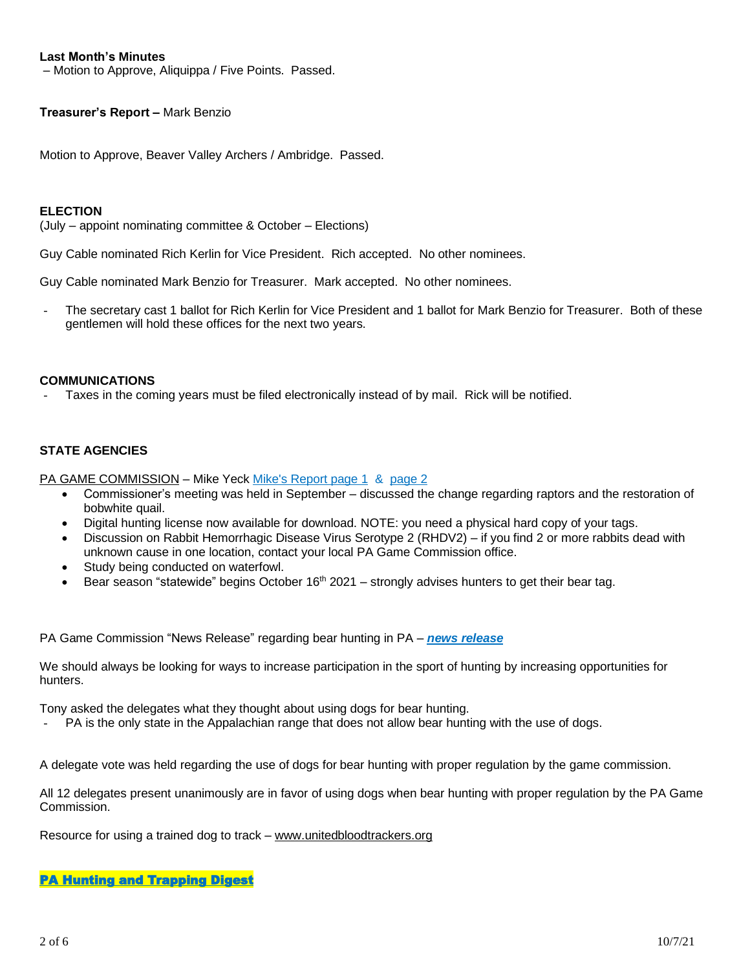## **Last Month's Minutes**

– Motion to Approve, Aliquippa / Five Points. Passed.

## **Treasurer's Report –** Mark Benzio

Motion to Approve, Beaver Valley Archers / Ambridge. Passed.

## **ELECTION**

(July – appoint nominating committee & October – Elections)

Guy Cable nominated Rich Kerlin for Vice President. Rich accepted. No other nominees.

Guy Cable nominated Mark Benzio for Treasurer. Mark accepted. No other nominees.

The secretary cast 1 ballot for Rich Kerlin for Vice President and 1 ballot for Mark Benzio for Treasurer. Both of these gentlemen will hold these offices for the next two years.

#### **COMMUNICATIONS**

Taxes in the coming years must be filed electronically instead of by mail. Rick will be notified.

## **STATE AGENCIES**

PA GAME COMMISSION – Mike Yeck Mike's [Report](https://drive.google.com/file/d/1wYMihgOqEjtwHjJYlTCabcKQ8_7lB1gp/view?usp=sharing) [page](https://drive.google.com/file/d/1fJiRagPQG0jmyNzKKTkaPbHsts3gXODV/view?usp=sharing) 1 & page 2

- Commissioner's meeting was held in September discussed the change regarding raptors and the restoration of bobwhite quail.
- Digital hunting license now available for download. NOTE: you need a physical hard copy of your tags.
- Discussion on Rabbit Hemorrhagic Disease Virus Serotype 2 (RHDV2) if you find 2 or more rabbits dead with unknown cause in one location, contact your local PA Game Commission office.
- Study being conducted on waterfowl.
- Bear season "statewide" begins October  $16<sup>th</sup>$  2021 strongly advises hunters to get their bear tag.

PA Game Commission "News Release" regarding bear hunting in PA – *news [release](https://www.media.pa.gov/Pages/game-commission-details.aspx?newsid=511)*

We should always be looking for ways to increase participation in the sport of hunting by increasing opportunities for hunters.

Tony asked the delegates what they thought about using dogs for bear hunting.

PA is the only state in the Appalachian range that does not allow bear hunting with the use of dogs.

A delegate vote was held regarding the use of dogs for bear hunting with proper regulation by the game commission.

All 12 delegates present unanimously are in favor of using dogs when bear hunting with proper regulation by the PA Game Commission.

Resource for using a trained dog to track – [www.unitedbloodtrackers.org](http://www.unitedbloodtrackers.org/)

#### [PA Hunting and Trapping Digest](http://read.nxtbook.com/pgc/huntingtrapping/20212022/cover.html)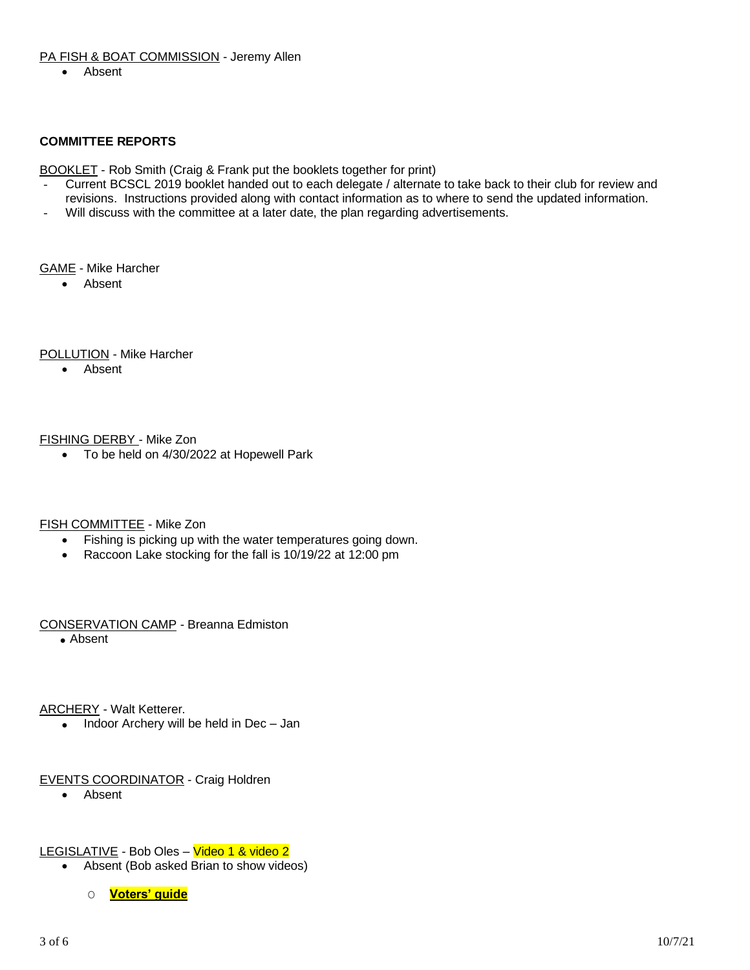## PA FISH & BOAT COMMISSION - Jeremy Allen

• Absent

## **COMMITTEE REPORTS**

BOOKLET - Rob Smith (Craig & Frank put the booklets together for print)

- Current BCSCL 2019 booklet handed out to each delegate / alternate to take back to their club for review and revisions. Instructions provided along with contact information as to where to send the updated information.
- Will discuss with the committee at a later date, the plan regarding advertisements.

#### GAME - Mike Harcher

• Absent

## POLLUTION - Mike Harcher

• Absent

## FISHING DERBY - Mike Zon

• To be held on 4/30/2022 at Hopewell Park

## FISH COMMITTEE - Mike Zon

- Fishing is picking up with the water temperatures going down.
- Raccoon Lake stocking for the fall is 10/19/22 at 12:00 pm

## CONSERVATION CAMP - Breanna Edmiston

• Absent

ARCHERY - Walt Ketterer.

• Indoor Archery will be held in Dec - Jan

## EVENTS COORDINATOR - Craig Holdren

- Absent
- LEGISLATIVE Bob Oles Video 1 & video 2
	- Absent (Bob asked Brian to show videos)
		- O **[Voters'](https://drive.google.com/file/d/1IXUqni3_Lr-GQn85FCn3NtKAQHfmygmW/view?usp=sharing) guide**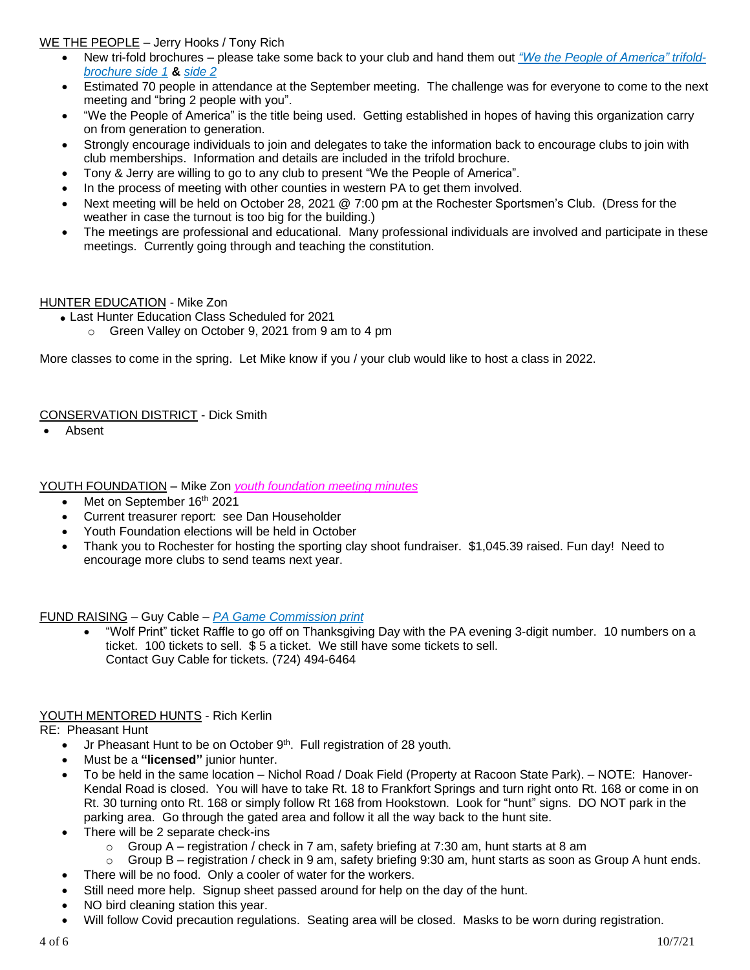## WE THE PEOPLE – Jerry Hooks / Tony Rich

- New tri-fold brochures please take some back to your club and hand them out *"We the People of [America"](https://drive.google.com/file/d/1le7FBQguy47ZjJt14DMMnCyksPbp7CEg/view?usp=sharing) trifold[brochure](https://drive.google.com/file/d/1le7FBQguy47ZjJt14DMMnCyksPbp7CEg/view?usp=sharing) side 1* **&** *[side](https://drive.google.com/file/d/1MdsRxUXaBxnno6RLuDlvY7Y58MH0v8yu/view?usp=sharing) 2*
- Estimated 70 people in attendance at the September meeting. The challenge was for everyone to come to the next meeting and "bring 2 people with you".
- "We the People of America" is the title being used. Getting established in hopes of having this organization carry on from generation to generation.
- Strongly encourage individuals to join and delegates to take the information back to encourage clubs to join with club memberships. Information and details are included in the trifold brochure.
- Tony & Jerry are willing to go to any club to present "We the People of America".
- In the process of meeting with other counties in western PA to get them involved.
- Next meeting will be held on October 28, 2021 @ 7:00 pm at the Rochester Sportsmen's Club. (Dress for the weather in case the turnout is too big for the building.)
- The meetings are professional and educational. Many professional individuals are involved and participate in these meetings. Currently going through and teaching the constitution.

## HUNTER EDUCATION - Mike Zon

- Last Hunter Education Class Scheduled for 2021
	- o Green Valley on October 9, 2021 from 9 am to 4 pm

More classes to come in the spring. Let Mike know if you / your club would like to host a class in 2022.

## CONSERVATION DISTRICT - Dick Smith

• Absent

YOUTH FOUNDATION – Mike Zon *youth [foundation](https://drive.google.com/file/d/1uxvaijO-AGuvr99xRLb2-VJtQdudrQhi/view?usp=sharing) meeting minutes*

- Met on September  $16<sup>th</sup> 2021$
- Current treasurer report: see Dan Householder
- Youth Foundation elections will be held in October
- Thank you to Rochester for hosting the sporting clay shoot fundraiser. \$1,045.39 raised. Fun day! Need to encourage more clubs to send teams next year.

## FUND RAISING – Guy Cable – *PA Game [Commission](https://drive.google.com/file/d/1mqRGowIJ8_-4c-l2lBL8X3MKENYcF-Uv/view?usp=sharing) print*

• "Wolf Print" ticket Raffle to go off on Thanksgiving Day with the PA evening 3-digit number. 10 numbers on a ticket. 100 tickets to sell.  $\overline{\$}5$  a ticket. We still have some tickets to sell. Contact Guy Cable for tickets. (724) 494-6464

## YOUTH MENTORED HUNTS - Rich Kerlin

RE: Pheasant Hunt

- $\bullet$  Jr Pheasant Hunt to be on October 9<sup>th</sup>. Full registration of 28 youth.
- Must be a **"licensed"** junior hunter.
- To be held in the same location Nichol Road / Doak Field (Property at Racoon State Park). NOTE: Hanover-Kendal Road is closed. You will have to take Rt. 18 to Frankfort Springs and turn right onto Rt. 168 or come in on Rt. 30 turning onto Rt. 168 or simply follow Rt 168 from Hookstown. Look for "hunt" signs. DO NOT park in the parking area. Go through the gated area and follow it all the way back to the hunt site.
- There will be 2 separate check-ins
	- o Group A registration / check in 7 am, safety briefing at 7:30 am, hunt starts at 8 am
	- $\circ$  Group B registration / check in 9 am, safety briefing 9:30 am, hunt starts as soon as Group A hunt ends.
	- There will be no food. Only a cooler of water for the workers.
- Still need more help. Signup sheet passed around for help on the day of the hunt.
- NO bird cleaning station this year.
- Will follow Covid precaution regulations. Seating area will be closed. Masks to be worn during registration.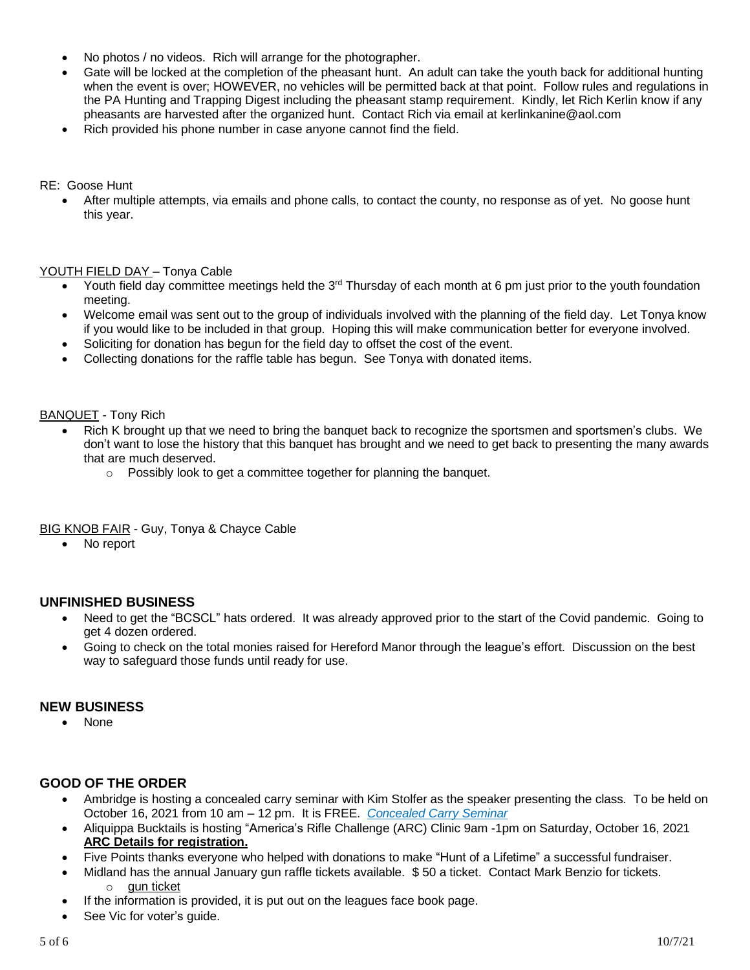- No photos / no videos. Rich will arrange for the photographer.
- Gate will be locked at the completion of the pheasant hunt. An adult can take the youth back for additional hunting when the event is over; HOWEVER, no vehicles will be permitted back at that point. Follow rules and regulations in the PA Hunting and Trapping Digest including the pheasant stamp requirement. Kindly, let Rich Kerlin know if any pheasants are harvested after the organized hunt. Contact Rich via email at kerlinkanine@aol.com
- Rich provided his phone number in case anyone cannot find the field.

## RE: Goose Hunt

• After multiple attempts, via emails and phone calls, to contact the county, no response as of yet. No goose hunt this year.

## YOUTH FIELD DAY - Tonya Cable

- Youth field day committee meetings held the 3<sup>rd</sup> Thursday of each month at 6 pm just prior to the youth foundation meeting.
- Welcome email was sent out to the group of individuals involved with the planning of the field day. Let Tonya know if you would like to be included in that group. Hoping this will make communication better for everyone involved.
- Soliciting for donation has begun for the field day to offset the cost of the event.
- Collecting donations for the raffle table has begun. See Tonya with donated items.

## BANQUET - Tony Rich

- Rich K brought up that we need to bring the banquet back to recognize the sportsmen and sportsmen's clubs. We don't want to lose the history that this banquet has brought and we need to get back to presenting the many awards that are much deserved.
	- o Possibly look to get a committee together for planning the banquet.

## **BIG KNOB FAIR - Guy, Tonya & Chayce Cable**

• No report

## **UNFINISHED BUSINESS**

- Need to get the "BCSCL" hats ordered. It was already approved prior to the start of the Covid pandemic. Going to get 4 dozen ordered.
- Going to check on the total monies raised for Hereford Manor through the league's effort. Discussion on the best way to safeguard those funds until ready for use.

## **NEW BUSINESS**

• None

## **GOOD OF THE ORDER**

- Ambridge is hosting a concealed carry seminar with Kim Stolfer as the speaker presenting the class. To be held on October 16, 2021 from 10 am – 12 pm. It is FREE. *[Concealed](https://drive.google.com/file/d/19vrqnL0vvP1wf6S3CYA-lX3uiY-rfhyO/view?usp=sharing) Carry Seminar*
- Aliquippa Bucktails is hosting "America's Rifle Challenge (ARC) Clinic 9am -1pm on Saturday, October 16, 2021 **ARC Details for [registration.](https://drive.google.com/file/d/1tChsV8qTrYed_dg0C7IB3aF_3KK039b5/view?usp=sharing)**
- Five Points thanks everyone who helped with donations to make "Hunt of a Lifetime" a successful fundraiser.
- Midland has the annual January gun raffle tickets available. \$ 50 a ticket. Contact Mark Benzio for tickets. o gun [ticket](https://drive.google.com/file/d/1pQEcAhECjgYZBbM40YycBFMlPWUZDMPs/view?usp=sharing)
- If the information is provided, it is put out on the leagues face book page.
- See Vic for voter's guide.